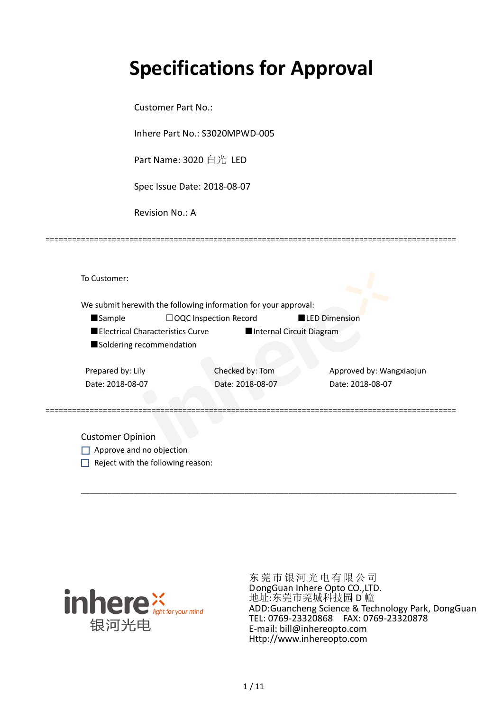# **Specifications for Approval**

Customer Part No.:

Inhere Part No.: S3020MPWD-005

Part Name: 3020 白光 LED

Spec Issue Date: 2018-08-07

Revision No.: A

| <b>Sample</b>                    | □OQC Inspection Record   | <b>LED Dimension</b>     |
|----------------------------------|--------------------------|--------------------------|
| Electrical Characteristics Curve | Internal Circuit Diagram |                          |
| Soldering recommendation         |                          |                          |
|                                  |                          |                          |
| Prepared by: Lily                | Checked by: Tom          | Approved by: Wangxiaojun |
| Date: 2018-08-07                 | Date: 2018-08-07         | Date: 2018-08-07         |
|                                  |                          |                          |

\_\_\_\_\_\_\_\_\_\_\_\_\_\_\_\_\_\_\_\_\_\_\_\_\_\_\_\_\_\_\_\_\_\_\_\_\_\_\_\_\_\_\_\_\_\_\_\_\_\_\_\_\_\_\_\_\_\_\_\_\_\_\_\_\_\_\_\_\_\_\_\_\_\_\_\_\_\_\_\_\_\_\_\_\_

=============================================================================================

Approve and no objection  $\Box$  Reject with the following reason:



东莞市银河光电有限公司 DongGuan Inhere Opto CO.,LTD. 地址:东莞市莞城科技园 D 幢 ADD:Guancheng Science & Technology Park, DongGuan TEL: 0769-23320868 FAX: 0769-23320878 E-mail: bill@inhereopto.com [Http://www.inhereopto.com](http://www.inhereopto.com/)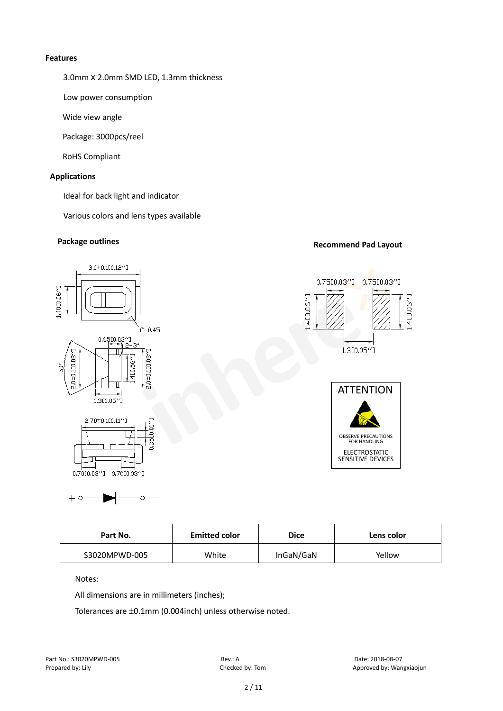#### **Features**

3.0mm x 2.0mm SMD LED, 1.3mm thickness

Low power consumption

Wide view angle

Package: 3000pcs/reel

RoHS Compliant

#### **Applications**

Ideal for back light and indicator

Various colors and lens types available

### **Package outlines Recommend Pad Layout**



| <b>Emitted color</b><br>Part No. |       | <b>Dice</b> | Lens color |  |
|----------------------------------|-------|-------------|------------|--|
| S3020MPWD-005                    | White | InGaN/GaN   | Yellow     |  |

Notes:

 $+ \circ$ 

All dimensions are in millimeters (inches);

Ċ

Tolerances are ±0.1mm (0.004inch) unless otherwise noted.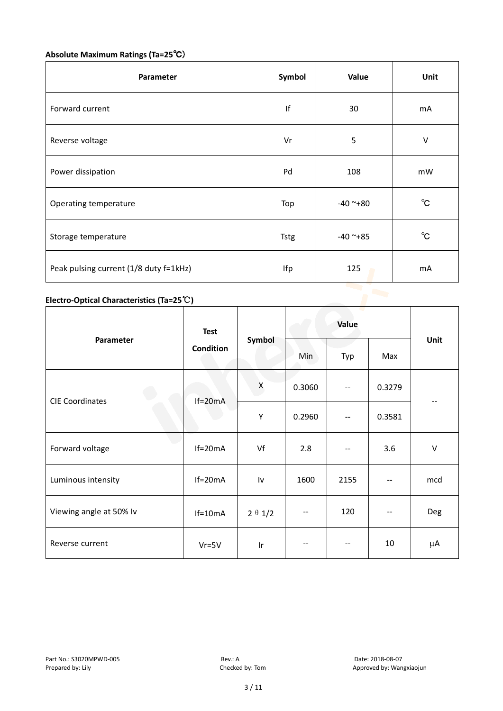## **Absolute Maximum Ratings (Ta=25**℃)

| Parameter                              | Symbol   | Value      | Unit         |
|----------------------------------------|----------|------------|--------------|
| Forward current                        | f <br>30 |            | mA           |
| Reverse voltage                        | Vr       | 5          | $\vee$       |
| Power dissipation                      | Pd       | 108        | mW           |
| Operating temperature                  | Top      | $-40$ ~+80 | $^{\circ}$ C |
| Storage temperature                    | Tstg     | $-40$ ~+85 | $^{\circ}$ C |
| Peak pulsing current (1/8 duty f=1kHz) | Ifp      | 125        | mA           |

#### **Electro-Optical Characteristics (Ta=25**℃**)**

|                         | <b>Test</b>      |                | Value  |                          |        |         |  |
|-------------------------|------------------|----------------|--------|--------------------------|--------|---------|--|
| Parameter               | <b>Condition</b> | Symbol         | Min    | Typ                      | Max    | Unit    |  |
|                         |                  | X              | 0.3060 | $-$                      | 0.3279 |         |  |
| <b>CIE Coordinates</b>  | $If=20mA$        | Υ              | 0.2960 | $\overline{\phantom{m}}$ | 0.3581 |         |  |
| Forward voltage         | $If=20mA$        | Vf             | 2.8    | $-$                      | 3.6    | $\sf V$ |  |
| Luminous intensity      | $If=20mA$        | Iv             | 1600   | 2155                     |        | mcd     |  |
| Viewing angle at 50% lv | $If=10mA$        | $2 \theta 1/2$ | $-$    | 120                      | --     | Deg     |  |
| Reverse current         | $Vr = 5V$        | Ir             |        | $-$                      | 10     | μA      |  |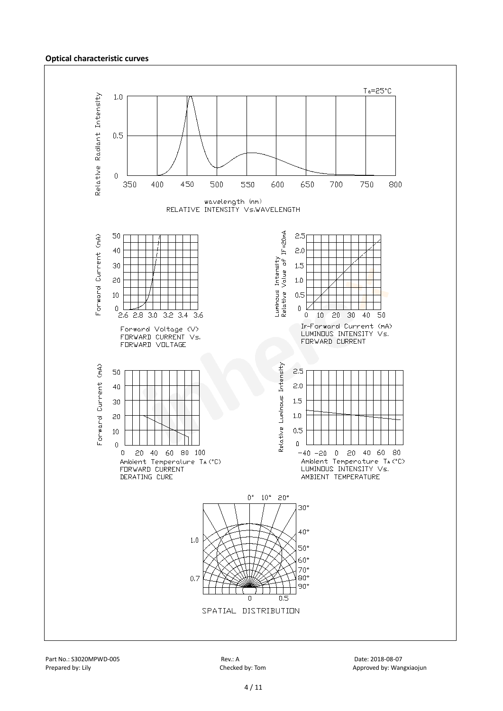#### **Optical characteristic curves**

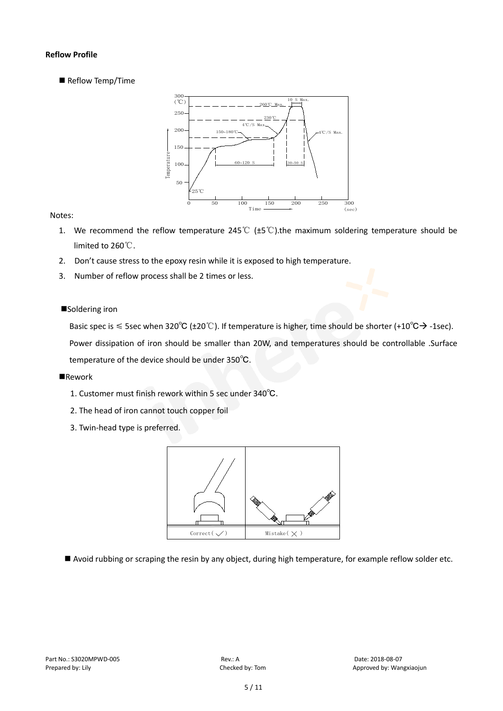#### **Reflow Profile**

Reflow Temp/Time



#### Notes:

- 1. We recommend the reflow temperature 245°C ( $\pm$ 5°C).the maximum soldering temperature should be limited to 260℃.
- 2. Don't cause stress to the epoxy resin while it is exposed to high temperature.
- 3. Number of reflow process shall be 2 times or less.

#### ■Soldering iron

Basic spec is  $\leq$  5sec when 320°C (±20°C). If temperature is higher, time should be shorter (+10°C $\rightarrow$ -1sec).

Power dissipation of iron should be smaller than 20W, and temperatures should be controllable .Surface temperature of the device should be under 350℃.

#### **Rework**

- 1. Customer must finish rework within 5 sec under 340℃.
- 2. The head of iron cannot touch copper foil
- 3. Twin-head type is preferred.



Avoid rubbing or scraping the resin by any object, during high temperature, for example reflow solder etc.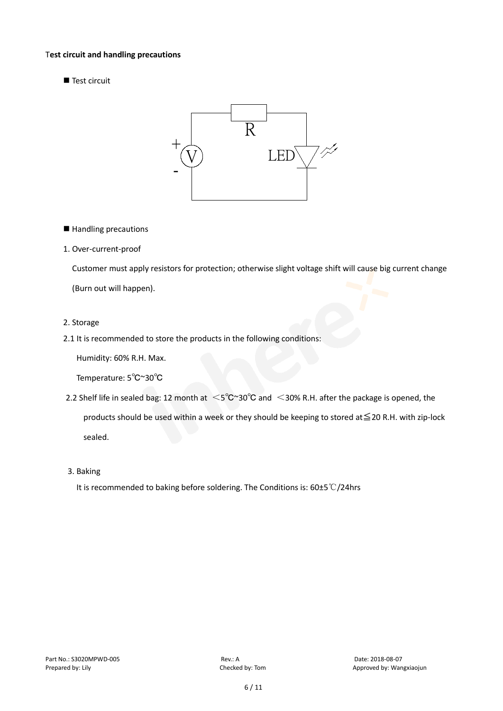#### T**est circuit and handling precautions**

Test circuit



- Handling precautions
- 1. Over-current-proof

Customer must apply resistors for protection; otherwise slight voltage shift will cause big current change

(Burn out will happen).

- 2. Storage
- 2.1 It is recommended to store the products in the following conditions:

Humidity: 60% R.H. Max.

Temperature: 5℃~30℃

- 2.2 Shelf life in sealed bag: 12 month at <5℃~30°C and <30% R.H. after the package is opened, the products should be used within a week or they should be keeping to stored at≦20 R.H. with zip-lock sealed.
- 3. Baking

It is recommended to baking before soldering. The Conditions is: 60±5℃/24hrs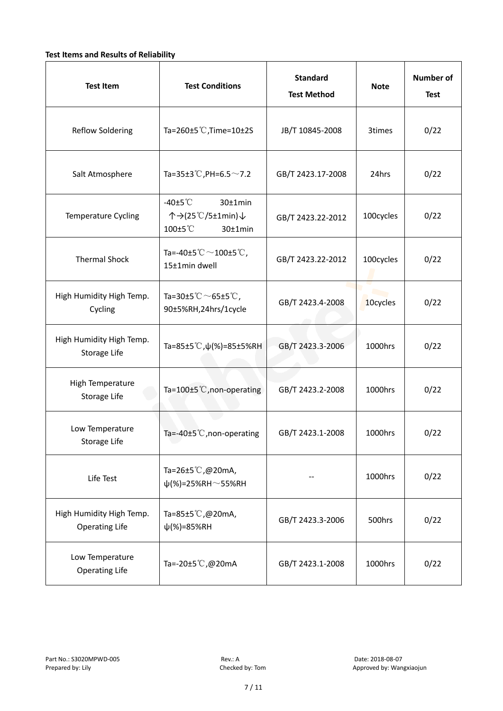#### **Test Items and Results of Reliability**

| <b>Test Item</b>                                  | <b>Test Conditions</b>                                                       | <b>Standard</b><br><b>Test Method</b> | <b>Note</b> | <b>Number of</b><br><b>Test</b> |
|---------------------------------------------------|------------------------------------------------------------------------------|---------------------------------------|-------------|---------------------------------|
| <b>Reflow Soldering</b>                           | Ta=260±5 °C, Time=10±2S                                                      | JB/T 10845-2008                       | 3times      | 0/22                            |
| Salt Atmosphere                                   | Ta=35±3°C, PH=6.5 $\sim$ 7.2                                                 | GB/T 2423.17-2008                     | 24hrs       | 0/22                            |
| Temperature Cycling                               | -40 $±5^{\circ}$ C<br>$30±1$ min<br>个→(25℃/5±1min)↓<br>100±5°C<br>$30±1$ min | GB/T 2423.22-2012                     | 100cycles   | 0/22                            |
| <b>Thermal Shock</b>                              | Ta=-40±5 $°C$ ~100±5 $°C$ ,<br>15±1min dwell                                 | GB/T 2423.22-2012                     | 100cycles   | 0/22                            |
| High Humidity High Temp.<br>Cycling               | Ta=30±5 $^{\circ}$ C $\sim$ 65±5 $^{\circ}$ C,<br>90±5%RH,24hrs/1cycle       | GB/T 2423.4-2008                      | 10cycles    | 0/22                            |
| High Humidity High Temp.<br>Storage Life          | Ta=85±5 °C, $\psi$ (%)=85±5%RH                                               | GB/T 2423.3-2006                      | 1000hrs     | 0/22                            |
| High Temperature<br>Storage Life                  | Ta=100±5°C, non-operating                                                    | GB/T 2423.2-2008                      | 1000hrs     | 0/22                            |
| Low Temperature<br>Storage Life                   | Ta=-40±5℃, non-operating                                                     | GB/T 2423.1-2008                      | 1000hrs     | 0/22                            |
| Life Test                                         | Ta=26±5℃,@20mA,<br>$\psi$ (%)=25%RH~55%RH                                    |                                       | 1000hrs     | 0/22                            |
| High Humidity High Temp.<br><b>Operating Life</b> | Ta=85±5℃,@20mA,<br>$\psi$ (%)=85%RH                                          | GB/T 2423.3-2006                      | 500hrs      | 0/22                            |
| Low Temperature<br><b>Operating Life</b>          | Ta=-20±5℃,@20mA                                                              | GB/T 2423.1-2008                      | 1000hrs     | 0/22                            |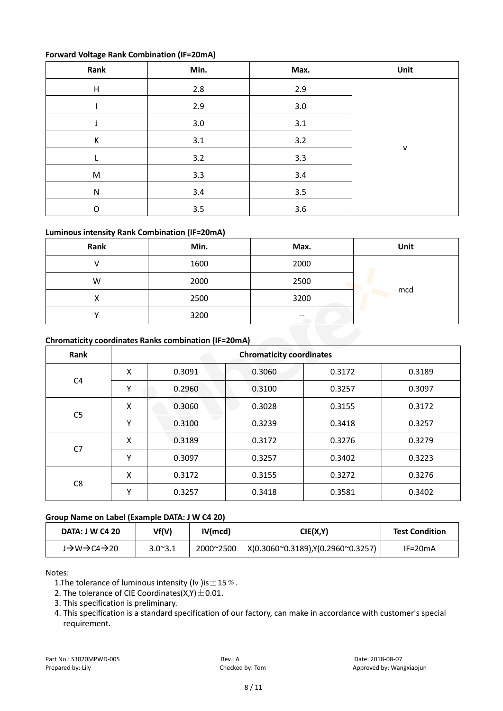#### **Forward Voltage Rank Combination (IF=20mA)**

| Rank                      | Min.    | Max.    | Unit         |
|---------------------------|---------|---------|--------------|
| $\boldsymbol{\mathsf{H}}$ | 2.8     | 2.9     |              |
|                           | 2.9     | $3.0\,$ |              |
|                           | $3.0\,$ | 3.1     |              |
| К                         | $3.1\,$ | 3.2     |              |
|                           | $3.2$   | 3.3     | $\mathsf{v}$ |
| M                         | 3.3     | 3.4     |              |
| ${\sf N}$                 | 3.4     | 3.5     |              |
| O                         | 3.5     | 3.6     |              |

#### **Luminous intensity Rank Combination (IF=20mA)**

| Rank | Min. | Max.  | Unit |
|------|------|-------|------|
|      | 1600 | 2000  |      |
| W    | 2000 | 2500  |      |
| ∧    | 2500 | 3200  | mcd  |
|      | 3200 | $- -$ |      |

#### **Chromaticity coordinates Ranks combination (IF=20mA)**

| Rank           | <b>Chromaticity coordinates</b> |        |        |        |        |  |
|----------------|---------------------------------|--------|--------|--------|--------|--|
|                | Χ                               | 0.3091 | 0.3060 | 0.3172 | 0.3189 |  |
| C <sub>4</sub> | Υ                               | 0.2960 | 0.3100 | 0.3257 | 0.3097 |  |
|                | Χ                               | 0.3060 | 0.3028 | 0.3155 | 0.3172 |  |
| C <sub>5</sub> | Υ                               | 0.3100 | 0.3239 | 0.3418 | 0.3257 |  |
| C7             | Χ                               | 0.3189 | 0.3172 | 0.3276 | 0.3279 |  |
|                | Υ                               | 0.3097 | 0.3257 | 0.3402 | 0.3223 |  |
|                | Χ                               | 0.3172 | 0.3155 | 0.3272 | 0.3276 |  |
| C <sub>8</sub> | ۷                               | 0.3257 | 0.3418 | 0.3581 | 0.3402 |  |

#### **Group Name on Label (Example DATA: J W C4 20)**

| <b>DATA: J W C4 20</b>                         | Vf(V)           | IV(mcd)   | CIE(X,Y)                           | <b>Test Condition</b> |
|------------------------------------------------|-----------------|-----------|------------------------------------|-----------------------|
| $J\rightarrow W \rightarrow C4 \rightarrow 20$ | $3.0^{\sim}3.1$ | 2000~2500 | X(0.3060~0.3189), Y(0.2960~0.3257) | $IF=20mA$             |

#### Notes:

- 1. The tolerance of luminous intensity (Iv ) is  $\pm$  15  $\%$ .
- 2. The tolerance of CIE Coordinates( $X,Y$ )  $\pm$  0.01.
- 3. This specification is preliminary.
- 4. This specification is a standard specification of our factory, can make in accordance with customer's special requirement.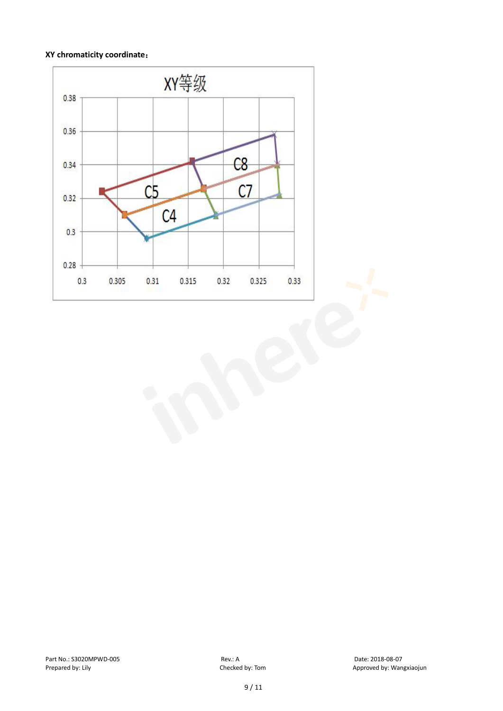#### **XY chromaticity coordinate**:

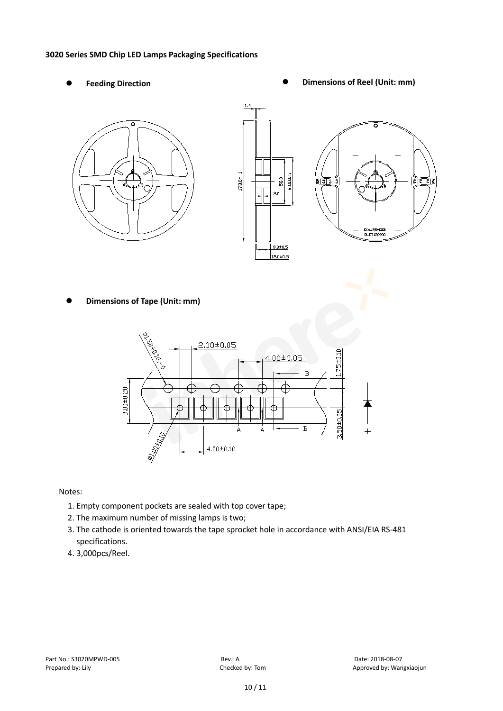#### **3020 Series SMD Chip LED Lamps Packaging Specifications**

- 
- Feeding Direction **Constanting Construction Constanting Operations Construction Constanting Construction Constanting Construction**





**Dimensions of Tape (Unit: mm)**



Notes:

- 1. Empty component pockets are sealed with top cover tape;
- 2. The maximum number of missing lamps is two;
- 3. The cathode is oriented towards the tape sprocket hole in accordance with ANSI/EIA RS-481 specifications.
- 4. 3,000pcs/Reel.